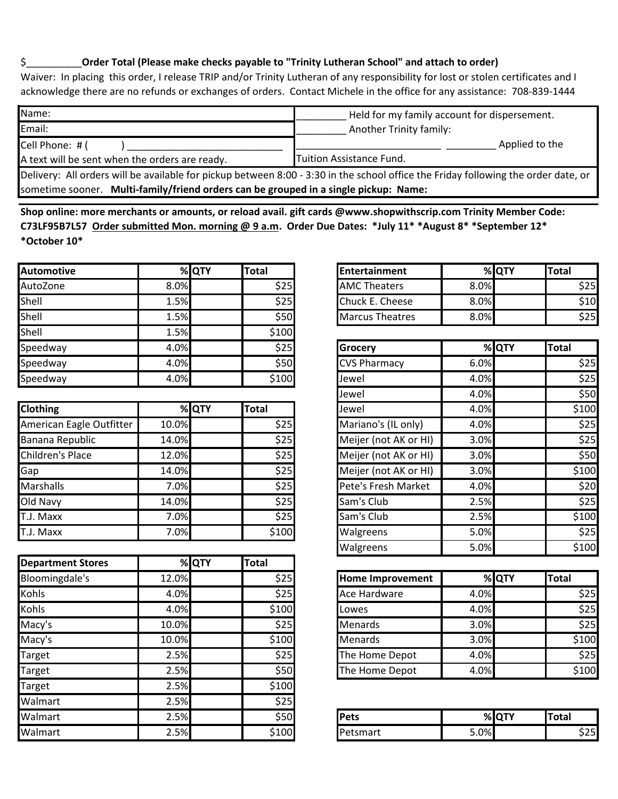## \$\_\_\_\_\_\_\_\_\_\_**Order Total (Please make checks payable to "Trinity Lutheran School" and attach to order)**

Waiver: In placing this order, I release TRIP and/or Trinity Lutheran of any responsibility for lost or stolen certificates and I acknowledge there are no refunds or exchanges of orders. Contact Michele in the office for any assistance: 708-839-1444  $\sum_{i=1}^{n}$ 

| Name:                                                                                                                              | Held for my family account for dispersement. |  |  |  |  |
|------------------------------------------------------------------------------------------------------------------------------------|----------------------------------------------|--|--|--|--|
| Email:                                                                                                                             | <b>Another Trinity family:</b>               |  |  |  |  |
| Cell Phone: # (                                                                                                                    | Applied to the                               |  |  |  |  |
| A text will be sent when the orders are ready.                                                                                     | <b>Tuition Assistance Fund.</b>              |  |  |  |  |
| Delivery: All orders will be available for pickup between 8:00 - 3:30 in the school office the Friday following the order date, or |                                              |  |  |  |  |
| sometime sooner. Multi-family/friend orders can be grouped in a single pickup: Name:                                               |                                              |  |  |  |  |

**Shop online: more merchants or amounts, or reload avail. gift cards @www.shopwithscrip.com Trinity Member Code: C73LF95B7L57 Order submitted Mon. morning @ 9 a.m. Order Due Dates: \*July 11\* \*August 8\* \*September 12\* \*October 10\*** 

| <b>Automotive</b> |      | % QTY | <b>Total</b> |
|-------------------|------|-------|--------------|
| AutoZone          | 8.0% |       | \$25         |
| Shell             | 1.5% |       | \$25         |
| Shell             | 1.5% |       | \$50         |
| Shell             | 1.5% |       | \$100        |
| Speedway          | 4.0% |       | \$25         |
| Speedway          | 4.0% |       | \$50         |
| Speedway          | 4.0% |       | \$100        |

| <b>Clothing</b>          |       | % QTY | <b>Total</b> |
|--------------------------|-------|-------|--------------|
| American Eagle Outfitter | 10.0% |       | \$25         |
| Banana Republic          | 14.0% |       | \$25         |
| Children's Place         | 12.0% |       | \$25         |
| Gap                      | 14.0% |       | \$25         |
| Marshalls                | 7.0%  |       | \$25         |
| Old Navy                 | 14.0% |       | \$25         |
| T.J. Maxx                | 7.0%  |       | \$25         |
| T.J. Maxx                | 7.0%  |       | \$100        |

| <b>Department Stores</b> |       | % QTY | <b>Total</b> |                |
|--------------------------|-------|-------|--------------|----------------|
| Bloomingdale's           | 12.0% |       | \$25         | <b>Home Im</b> |
| <b>Kohls</b>             | 4.0%  |       | \$25         | Ace Hard       |
| <b>Kohls</b>             | 4.0%  |       | \$100        | Lowes          |
| Macy's                   | 10.0% |       | \$25         | <b>Menards</b> |
| Macy's                   | 10.0% |       | \$100        | <b>Menards</b> |
| Target                   | 2.5%  |       | \$25         | The Hom        |
| Target                   | 2.5%  |       | \$50         | The Hom        |
| Target                   | 2.5%  |       | \$100        |                |
| Walmart                  | 2.5%  |       | \$25         |                |
| Walmart                  | 2.5%  |       | \$50         | Pets           |
| Walmart                  | 2.5%  |       | \$100        | Petsmart       |

|      | %IQTY | <b>Total</b>  | <b>IEntertainment</b>  |      | %IQTY | <b>Total</b> |
|------|-------|---------------|------------------------|------|-------|--------------|
| 8.0% |       | \$25I         | <b>AMC Theaters</b>    | 8.0% |       | 325          |
| 1.5% |       | 525 <b>F</b>  | Chuck E. Cheese        | 8.0% |       | 10اذ         |
| 1.5% |       | \$50 <b>J</b> | <b>Marcus Theatres</b> | 8.0% |       | .25F         |

| 4.0%  |       | \$25         | Grocery               |      | % QTY | Total |
|-------|-------|--------------|-----------------------|------|-------|-------|
| 4.0%  |       | \$50         | <b>CVS Pharmacy</b>   | 6.0% |       | \$25  |
| 4.0%  |       | \$100        | Jewel                 | 4.0% |       | \$25  |
|       |       |              | Jewel                 | 4.0% |       | \$50  |
|       | % QTY | <b>Total</b> | Jewel                 | 4.0% |       | \$100 |
| 10.0% |       | \$25         | Mariano's (IL only)   | 4.0% |       | \$25  |
| 14.0% |       | \$25         | Meijer (not AK or HI) | 3.0% |       | \$25  |
| 12.0% |       | \$25         | Meijer (not AK or HI) | 3.0% |       | \$50  |
| 14.0% |       | \$25         | Meijer (not AK or HI) | 3.0% |       | \$100 |
| 7.0%  |       | \$25         | Pete's Fresh Market   | 4.0% |       | \$20  |
| 14.0% |       | \$25         | Sam's Club            | 2.5% |       | \$25  |
| 7.0%  |       | \$25         | Sam's Club            | 2.5% |       | \$100 |
| 7.0%  |       | \$100        | Walgreens             | 5.0% |       | \$25  |
|       |       |              | Walgreens             | 5.0% |       | \$100 |

| 12.0% | \$25  | <b>Home Improvement</b> |      | % QTY | <b>Total</b> |
|-------|-------|-------------------------|------|-------|--------------|
| 4.0%  | \$25  | <b>Ace Hardware</b>     | 4.0% |       | \$25         |
| 4.0%  | \$100 | Lowes                   | 4.0% |       | \$25         |
| 10.0% | \$25  | <b>Menards</b>          | 3.0% |       | \$25         |
| 10.0% | \$100 | <b>Menards</b>          | 3.0% |       | \$100        |
| 2.5%  | \$25  | The Home Depot          | 4.0% |       | \$25         |
| 2.5%  | \$50  | The Home Depot          | 4.0% |       | \$100        |

| 2.5% | $ \sim$ $\sim$<br>ววบเ | <b>Pets</b> |      | % QTY | <b>Total</b>                 |
|------|------------------------|-------------|------|-------|------------------------------|
| 2.5% | 100                    | 'etsmart    | 5.0% |       | $\sim$ $\sim$ $\sim$<br>וכ∠כ |